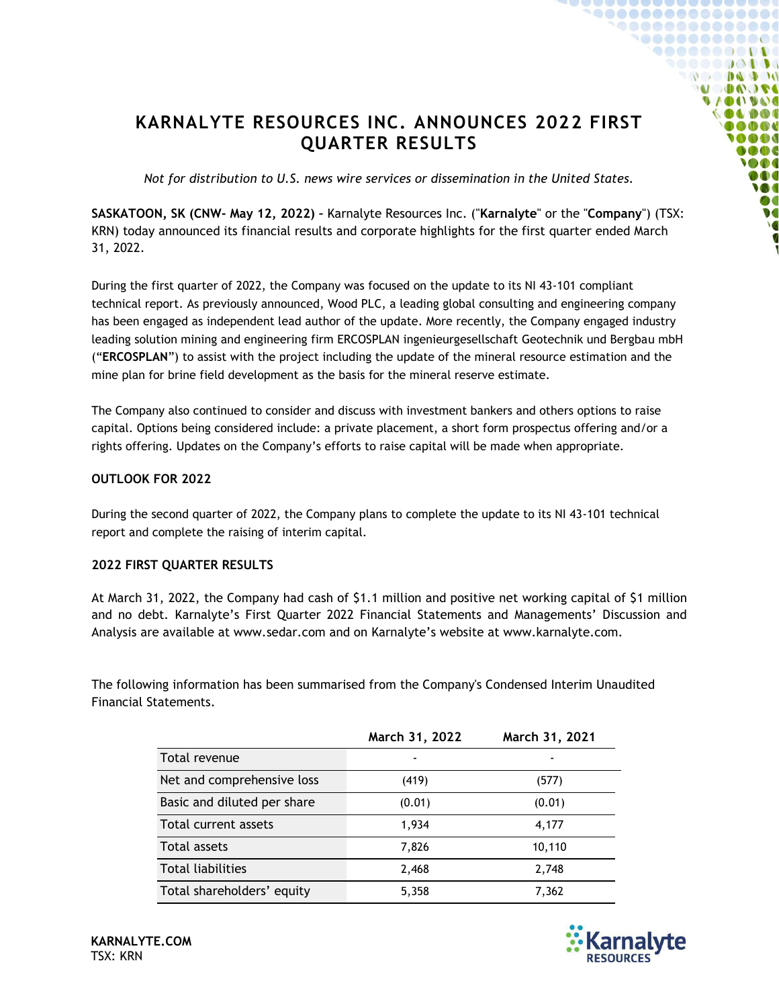# **KARNALYTE RESOURCES INC. ANNOUNCES 2022 FIRST QUARTER RESULTS**

*Not for distribution to U.S. news wire services or dissemination in the United States.*

**SASKATOON, SK (CNW- May 12, 2022) –** Karnalyte Resources Inc. ("**Karnalyte**" or the "**Company**") (TSX: KRN) today announced its financial results and corporate highlights for the first quarter ended March 31, 2022.

During the first quarter of 2022, the Company was focused on the update to its NI 43-101 compliant technical report. As previously announced, Wood PLC, a leading global consulting and engineering company has been engaged as independent lead author of the update. More recently, the Company engaged industry leading solution mining and engineering firm ERCOSPLAN ingenieurgesellschaft Geotechnik und Bergbau mbH ("**ERCOSPLAN**") to assist with the project including the update of the mineral resource estimation and the mine plan for brine field development as the basis for the mineral reserve estimate.

The Company also continued to consider and discuss with investment bankers and others options to raise capital. Options being considered include: a private placement, a short form prospectus offering and/or a rights offering. Updates on the Company's efforts to raise capital will be made when appropriate.

### **OUTLOOK FOR 2022**

During the second quarter of 2022, the Company plans to complete the update to its NI 43-101 technical report and complete the raising of interim capital.

## **2022 FIRST QUARTER RESULTS**

At March 31, 2022, the Company had cash of \$1.1 million and positive net working capital of \$1 million and no debt. Karnalyte's First Quarter 2022 Financial Statements and Managements' Discussion and Analysis are available at www.sedar.com and on Karnalyte's website at www.karnalyte.com.

The following information has been summarised from the Company's Condensed Interim Unaudited Financial Statements.

|                             | March 31, 2022 | March 31, 2021 |
|-----------------------------|----------------|----------------|
| Total revenue               |                |                |
| Net and comprehensive loss  | (419)          | (577)          |
| Basic and diluted per share | (0.01)         | (0.01)         |
| Total current assets        | 1,934          | 4,177          |
| Total assets                | 7,826          | 10,110         |
| <b>Total liabilities</b>    | 2,468          | 2,748          |
| Total shareholders' equity  | 5,358          | 7,362          |



......

> $\mathbf{A} \mathbf{A}$  $100.194$

> > **N**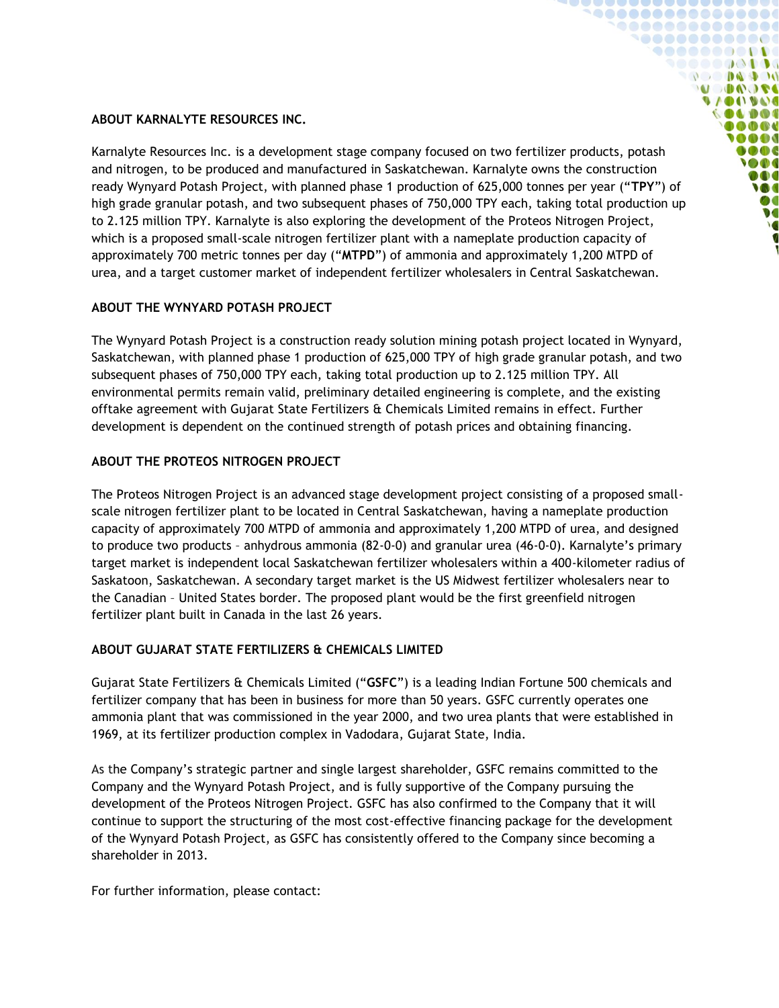### **ABOUT KARNALYTE RESOURCES INC.**

Karnalyte Resources Inc. is a development stage company focused on two fertilizer products, potash and nitrogen, to be produced and manufactured in Saskatchewan. Karnalyte owns the construction ready Wynyard Potash Project, with planned phase 1 production of 625,000 tonnes per year ("**TPY**") of high grade granular potash, and two subsequent phases of 750,000 TPY each, taking total production up to 2.125 million TPY. Karnalyte is also exploring the development of the Proteos Nitrogen Project, which is a proposed small-scale nitrogen fertilizer plant with a nameplate production capacity of approximately 700 metric tonnes per day ("**MTPD**") of ammonia and approximately 1,200 MTPD of urea, and a target customer market of independent fertilizer wholesalers in Central Saskatchewan.

1000000000000  $\bullet\bullet\bullet\bullet\bullet\bullet\bullet\bullet\bullet\bullet\bullet$ ,,,,,,,,,  $\mathbb{R}^n$  and  $\mathbb{R}^n$  and  $\mathbb{R}^n$ **SACAR DE**  $9/001900$ **OLDOI** OOD **MAG** ooc  $\bullet$ DOO W  $\bullet$  C  $\bullet$ 

# **ABOUT THE WYNYARD POTASH PROJECT**

The Wynyard Potash Project is a construction ready solution mining potash project located in Wynyard, Saskatchewan, with planned phase 1 production of 625,000 TPY of high grade granular potash, and two subsequent phases of 750,000 TPY each, taking total production up to 2.125 million TPY. All environmental permits remain valid, preliminary detailed engineering is complete, and the existing offtake agreement with Gujarat State Fertilizers & Chemicals Limited remains in effect. Further development is dependent on the continued strength of potash prices and obtaining financing.

# **ABOUT THE PROTEOS NITROGEN PROJECT**

The Proteos Nitrogen Project is an advanced stage development project consisting of a proposed smallscale nitrogen fertilizer plant to be located in Central Saskatchewan, having a nameplate production capacity of approximately 700 MTPD of ammonia and approximately 1,200 MTPD of urea, and designed to produce two products – anhydrous ammonia (82-0-0) and granular urea (46-0-0). Karnalyte's primary target market is independent local Saskatchewan fertilizer wholesalers within a 400-kilometer radius of Saskatoon, Saskatchewan. A secondary target market is the US Midwest fertilizer wholesalers near to the Canadian – United States border. The proposed plant would be the first greenfield nitrogen fertilizer plant built in Canada in the last 26 years.

## **ABOUT GUJARAT STATE FERTILIZERS & CHEMICALS LIMITED**

Gujarat State Fertilizers & Chemicals Limited ("**GSFC**") is a leading Indian Fortune 500 chemicals and fertilizer company that has been in business for more than 50 years. GSFC currently operates one ammonia plant that was commissioned in the year 2000, and two urea plants that were established in 1969, at its fertilizer production complex in Vadodara, Gujarat State, India.

As the Company's strategic partner and single largest shareholder, GSFC remains committed to the Company and the Wynyard Potash Project, and is fully supportive of the Company pursuing the development of the Proteos Nitrogen Project. GSFC has also confirmed to the Company that it will continue to support the structuring of the most cost-effective financing package for the development of the Wynyard Potash Project, as GSFC has consistently offered to the Company since becoming a shareholder in 2013.

For further information, please contact: